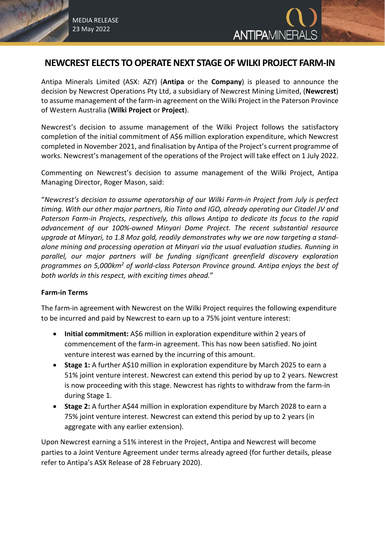

### **NEWCREST ELECTS TO OPERATE NEXT STAGE OF WILKI PROJECT FARM-IN**

Antipa Minerals Limited (ASX: AZY) (**Antipa** or the **Company**) is pleased to announce the decision by Newcrest Operations Pty Ltd, a subsidiary of Newcrest Mining Limited, (**Newcrest**) to assume management of the farm-in agreement on the Wilki Project in the Paterson Province of Western Australia (**Wilki Project** or **Project**).

Newcrest's decision to assume management of the Wilki Project follows the satisfactory completion of the initial commitment of A\$6 million exploration expenditure, which Newcrest completed in November 2021, and finalisation by Antipa of the Project's current programme of works. Newcrest's management of the operations of the Project will take effect on 1 July 2022.

Commenting on Newcrest's decision to assume management of the Wilki Project, Antipa Managing Director, Roger Mason, said:

"*Newcrest's decision to assume operatorship of our Wilki Farm-in Project from July is perfect timing. With our other major partners, Rio Tinto and IGO, already operating our Citadel JV and Paterson Farm-in Projects, respectively, this allows Antipa to dedicate its focus to the rapid advancement of our 100%-owned Minyari Dome Project. The recent substantial resource upgrade at Minyari, to 1.8 Moz gold, readily demonstrates why we are now targeting a standalone mining and processing operation at Minyari via the usual evaluation studies. Running in parallel, our major partners will be funding significant greenfield discovery exploration programmes on 5,000km2 of world-class Paterson Province ground. Antipa enjoys the best of both worlds in this respect, with exciting times ahead.*"

#### **Farm-in Terms**

The farm-in agreement with Newcrest on the Wilki Project requires the following expenditure to be incurred and paid by Newcrest to earn up to a 75% joint venture interest:

- **Initial commitment:** A\$6 million in exploration expenditure within 2 years of commencement of the farm-in agreement. This has now been satisfied. No joint venture interest was earned by the incurring of this amount.
- **Stage 1:** A further A\$10 million in exploration expenditure by March 2025 to earn a 51% joint venture interest. Newcrest can extend this period by up to 2 years. Newcrest is now proceeding with this stage. Newcrest has rights to withdraw from the farm-in during Stage 1.
- **Stage 2:** A further A\$44 million in exploration expenditure by March 2028 to earn a 75% joint venture interest. Newcrest can extend this period by up to 2 years (in aggregate with any earlier extension).

Upon Newcrest earning a 51% interest in the Project, Antipa and Newcrest will become parties to a Joint Venture Agreement under terms already agreed (for further details, please refer to Antipa's ASX Release of 28 February 2020).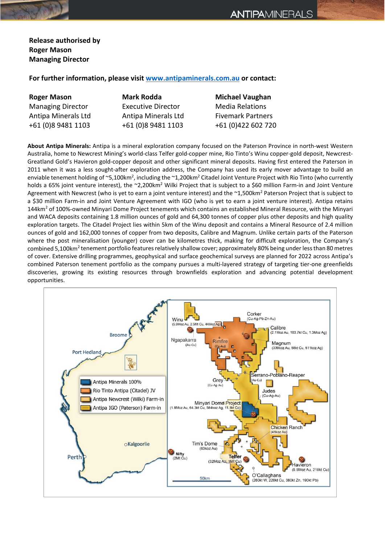**Release authorised by Roger Mason Managing Director**

**For further information, please visit [www.antipaminerals.com.au](http://www.antipaminerals.com.au/) or contact:**

| <b>Roger Mason</b>       | <b>Mark Rodda</b>          | <b>Michael Vaughan</b>   |
|--------------------------|----------------------------|--------------------------|
| <b>Managing Director</b> | <b>Executive Director</b>  | <b>Media Relations</b>   |
| Antipa Minerals Ltd      | <b>Antipa Minerals Ltd</b> | <b>Fivemark Partners</b> |
| +61 (0)8 9481 1103       | +61 (0)8 9481 1103         | +61 (0)422 602 720       |

**About Antipa Minerals:** Antipa is a mineral exploration company focused on the Paterson Province in north-west Western Australia, home to Newcrest Mining's world-class Telfer gold-copper mine, Rio Tinto's Winu copper-gold deposit, Newcrest-Greatland Gold's Havieron gold-copper deposit and other significant mineral deposits. Having first entered the Paterson in 2011 when it was a less sought-after exploration address, the Company has used its early mover advantage to build an enviable tenement holding of ~5,100km<sup>2</sup>, including the ~1,200km<sup>2</sup> Citadel Joint Venture Project with Rio Tinto (who currently holds a 65% joint venture interest), the ~2,200km<sup>2</sup> Wilki Project that is subject to a \$60 million Farm-in and Joint Venture Agreement with Newcrest (who is yet to earn a joint venture interest) and the  $2,500$ km<sup>2</sup> Paterson Project that is subject to a \$30 million Farm-in and Joint Venture Agreement with IGO (who is yet to earn a joint venture interest). Antipa retains 144km2 of 100%-owned Minyari Dome Project tenements which contains an established Mineral Resource, with the Minyari and WACA deposits containing 1.8 million ounces of gold and 64,300 tonnes of copper plus other deposits and high quality exploration targets. The Citadel Project lies within 5km of the Winu deposit and contains a Mineral Resource of 2.4 million ounces of gold and 162,000 tonnes of copper from two deposits, Calibre and Magnum. Unlike certain parts of the Paterson where the post mineralisation (younger) cover can be kilometres thick, making for difficult exploration, the Company's combined 5,100km<sup>2</sup> tenement portfolio features relatively shallow cover; approximately 80% being under less than 80 metres of cover. Extensive drilling programmes, geophysical and surface geochemical surveys are planned for 2022 across Antipa's combined Paterson tenement portfolio as the company pursues a multi-layered strategy of targeting tier-one greenfields discoveries, growing its existing resources through brownfields exploration and advancing potential development opportunities.

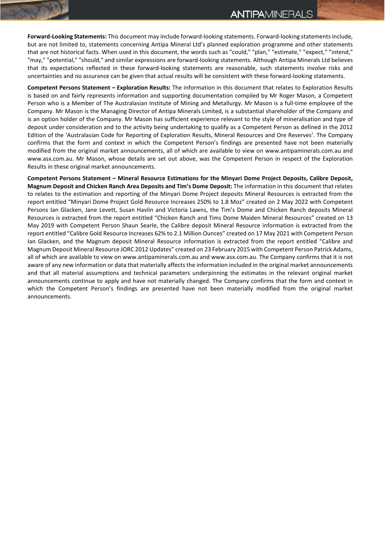**Forward-Looking Statements:** This document may include forward-looking statements. Forward-looking statements include, but are not limited to, statements concerning Antipa Mineral Ltd's planned exploration programme and other statements that are not historical facts. When used in this document, the words such as "could," "plan," "estimate," "expect," "intend," "may," "potential," "should," and similar expressions are forward-looking statements. Although Antipa Minerals Ltd believes that its expectations reflected in these forward-looking statements are reasonable, such statements involve risks and uncertainties and no assurance can be given that actual results will be consistent with these forward-looking statements.

**Competent Persons Statement – Exploration Results:** The information in this document that relates to Exploration Results is based on and fairly represents information and supporting documentation compiled by Mr Roger Mason, a Competent Person who is a Member of The Australasian Institute of Mining and Metallurgy. Mr Mason is a full-time employee of the Company. Mr Mason is the Managing Director of Antipa Minerals Limited, is a substantial shareholder of the Company and is an option holder of the Company. Mr Mason has sufficient experience relevant to the style of mineralisation and type of deposit under consideration and to the activity being undertaking to qualify as a Competent Person as defined in the 2012 Edition of the 'Australasian Code for Reporting of Exploration Results, Mineral Resources and Ore Reserves'. The Company confirms that the form and context in which the Competent Person's findings are presented have not been materially modified from the original market announcements, all of which are available to view on www.antipaminerals.com.au and www.asx.com.au. Mr Mason, whose details are set out above, was the Competent Person in respect of the Exploration Results in these original market announcements.

**Competent Persons Statement – Mineral Resource Estimations for the Minyari Dome Project Deposits, Calibre Deposit, Magnum Deposit and Chicken Ranch Area Deposits and Tim's Dome Deposit:** The information in this document that relates to relates to the estimation and reporting of the Minyari Dome Project deposits Mineral Resources is extracted from the report entitled "Minyari Dome Project Gold Resource Increases 250% to 1.8 Moz" created on 2 May 2022 with Competent Persons Ian Glacken, Jane Levett, Susan Havlin and Victoria Lawns, the Tim's Dome and Chicken Ranch deposits Mineral Resources is extracted from the report entitled "Chicken Ranch and Tims Dome Maiden Mineral Resources" created on 13 May 2019 with Competent Person Shaun Searle, the Calibre deposit Mineral Resource information is extracted from the report entitled "Calibre Gold Resource Increases 62% to 2.1 Million Ounces" created on 17 May 2021 with Competent Person Ian Glacken, and the Magnum deposit Mineral Resource information is extracted from the report entitled "Calibre and Magnum Deposit Mineral Resource JORC 2012 Updates" created on 23 February 2015 with Competent Person Patrick Adams, all of which are available to view on www.antipaminerals.com.au and www.asx.com.au. The Company confirms that it is not aware of any new information or data that materially affects the information included in the original market announcements and that all material assumptions and technical parameters underpinning the estimates in the relevant original market announcements continue to apply and have not materially changed. The Company confirms that the form and context in which the Competent Person's findings are presented have not been materially modified from the original market announcements.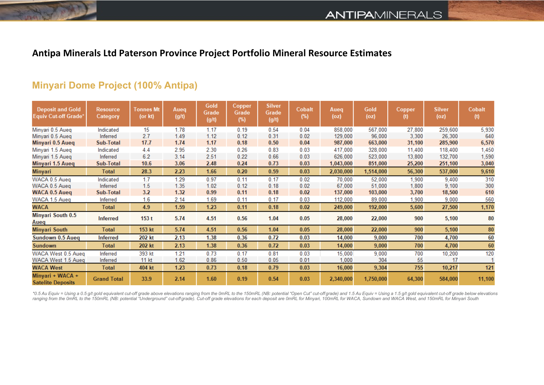## **Antipa Minerals Ltd Paterson Province Project Portfolio Mineral Resource Estimates**

## **Minyari Dome Project (100% Antipa)**

| <b>Deposit and Gold</b><br><b>Equiv Cut-off Grade*</b> | <b>Resource</b><br>Category | Tonnes Mt<br>(or kt) | Aueq<br>(g/t) | Gold<br>Grade<br>(g/t) | Copper<br>Grade<br>(%) | <b>Silver</b><br>Grade<br>(g/t) | Cobalt<br>(%) | Aueq<br>(oz) | <b>Gold</b><br>(oz) | Copper<br>(t) | <b>Silver</b><br>(oz) | Cobalt<br>(t) |
|--------------------------------------------------------|-----------------------------|----------------------|---------------|------------------------|------------------------|---------------------------------|---------------|--------------|---------------------|---------------|-----------------------|---------------|
| Minyari 0.5 Aueq                                       | Indicated                   | 15                   | 1.78          | 1.17                   | 0.19                   | 0.54                            | 0.04          | 858,000      | 567,000             | 27,800        | 259,600               | 5,930         |
| Minyari 0.5 Aueg                                       | Inferred                    | 2.7                  | 1.49          | 1.12                   | 0.12                   | 0.31                            | 0.02          | 129,000      | 96,000              | 3.300         | 26,300                | 640           |
| Minyari 0.5 Aueq                                       | Sub-Total                   | 17.7                 | 1.74          | 1.17                   | 0.18                   | 0.50                            | 0.04          | 987,000      | 663,000             | 31,100        | 285,900               | 6,570         |
| Minyari 1.5 Aueq                                       | Indicated                   | 4.4                  | 2.95          | 2.30                   | 0.26                   | 0.83                            | 0.03          | 417,000      | 328,000             | 11,400        | 118,400               | 1,450         |
| Minyari 1.5 Aueq                                       | Inferred                    | 6.2                  | 3.14          | 2.51                   | 0.22                   | 0.66                            | 0.03          | 626,000      | 523,000             | 13,800        | 132,700               | 1,590         |
| Minyari 1.5 Aueq                                       | Sub-Total                   | 10.6                 | 3.06          | 2.48                   | 0.24                   | 0.73                            | 0.03          | 1,043,000    | 851,000             | 25,200        | 251,100               | 3,040         |
| <b>Minyari</b>                                         | <b>Total</b>                | 28.3                 | 2.23          | 1.66                   | 0.20                   | 0.59                            | 0.03          | 2,030,000    | 1,514,000           | 56,300        | 537,000               | 9,610         |
| WACA 0.5 Aueq                                          | Indicated                   | 1.7                  | 1.29          | 0.97                   | 0.11                   | 0.17                            | 0.02          | 70,000       | 52,000              | 1,900         | 9,400                 | 310           |
| WACA 0.5 Aueg                                          | Inferred                    | 1.5                  | 1.35          | 1.02                   | 0.12                   | 0.18                            | 0.02          | 67,000       | 51,000              | 1,800         | 9,100                 | 300           |
| <b>WACA 0.5 Aueq</b>                                   | <b>Sub-Total</b>            | 3.2                  | 1.32          | 0.99                   | 0.11                   | 0.18                            | 0.02          | 137,000      | 103,000             | 3,700         | 18,500                | 610           |
| WACA 1.5 Aueq                                          | Inferred                    | 1.6                  | 2.14          | 1.69                   | 0.11                   | 0.17                            | 0.03          | 112,000      | 89,000              | 1,900         | 9,000                 | 560           |
| <b>WACA</b>                                            | Total                       | 4.9                  | 1.59          | 1.23                   | 0.11                   | 0.18                            | 0.02          | 249,000      | 192,000             | 5,600         | 27,500                | 1,170         |
| <b>Minyari South 0.5</b><br>Aueq                       | <b>Inferred</b>             | 153t                 | 5.74          | 4.51                   | 0.56                   | 1.04                            | 0.05          | 28,000       | 22,000              | 900           | 5,100                 | 80            |
| <b>Minyari South</b>                                   | <b>Total</b>                | 153 kt               | 5.74          | 4.51                   | 0.56                   | 1.04                            | 0.05          | 28,000       | 22,000              | 900           | 5,100                 | 80            |
| Sundown 0.5 Aueq                                       | <b>Inferred</b>             | 202 kt               | 2.13          | 1.38                   | 0.36                   | 0.72                            | 0.03          | 14,000       | 9,000               | 700           | 4,700                 | 60            |
| <b>Sundown</b>                                         | <b>Total</b>                | 202 kt               | 2.13          | 1.38                   | 0.36                   | 0.72                            | 0.03          | 14,000       | 9,000               | 700           | 4,700                 | 60            |
| WACA West 0.5 Aueq                                     | Inferred                    | 393 kt               | 1.21          | 0.73                   | 0.17                   | 0.81                            | 0.03          | 15,000       | 9,000               | 700           | 10,200                | 120           |
| WACA West 1.5 Aueg                                     | Inferred                    | 11 kt                | 1.62          | 0.86                   | 0.50                   | 0.05                            | 0.01          | 1,000        | 304                 | 55            | 17                    |               |
| <b>WACA West</b>                                       | <b>Total</b>                | 404 kt               | 1.23          | 0.73                   | 0.18                   | 0.79                            | 0.03          | 16,000       | 9,304               | 755           | 10,217                | 121           |
| Minyari + WACA +<br><b>Satelite Deposits</b>           | <b>Grand Total</b>          | 33.9                 | 2.14          | 1.60                   | 0.19                   | 0.54                            | 0.03          | 2,340,000    | 1,750,000           | 64,300        | 584,000               | 11,100        |

\*0.5 Au Equiv = Using a 0.5 g/t gold equivalent cut-off grade above elevations ranging from the 0mRL to the 150mRL (NB: potential "Open Cut" cut-off grade) and 1.5 Au Equiv = Using a 1.5 g/t gold equivalent cut-off grade b ranging from the 0mRL to the 150mRL (NB: potential "Underground" cut-off grade). Cut-off grade elevations for each deposit are 0mRL for Minyari, 100mRL for WACA, Sundown and WACA West, and 150mRL for Minyari South